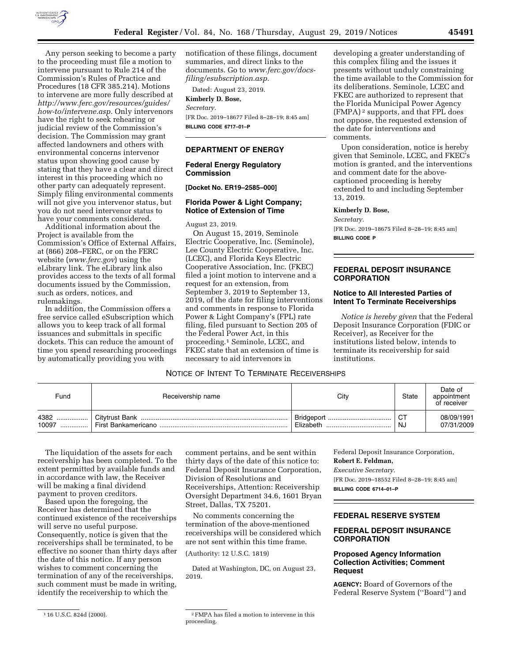

Any person seeking to become a party to the proceeding must file a motion to intervene pursuant to Rule 214 of the Commission's Rules of Practice and Procedures (18 CFR 385.214). Motions to intervene are more fully described at *[http://www.ferc.gov/resources/guides/](http://www.ferc.gov/resources/guides/how-to/intervene.asp) [how-to/intervene.asp.](http://www.ferc.gov/resources/guides/how-to/intervene.asp)* Only intervenors have the right to seek rehearing or judicial review of the Commission's decision. The Commission may grant affected landowners and others with environmental concerns intervenor status upon showing good cause by stating that they have a clear and direct interest in this proceeding which no other party can adequately represent. Simply filing environmental comments will not give you intervenor status, but you do not need intervenor status to have your comments considered.

Additional information about the Project is available from the Commission's Office of External Affairs, at (866) 208–FERC, or on the FERC website (*[www.ferc.gov](http://www.ferc.gov)*) using the eLibrary link. The eLibrary link also provides access to the texts of all formal documents issued by the Commission, such as orders, notices, and rulemakings.

In addition, the Commission offers a free service called eSubscription which allows you to keep track of all formal issuances and submittals in specific dockets. This can reduce the amount of time you spend researching proceedings by automatically providing you with

notification of these filings, document summaries, and direct links to the documents. Go to *[www.ferc.gov/docs](http://www.ferc.gov/docs-filing/esubscription.asp)[filing/esubscription.asp.](http://www.ferc.gov/docs-filing/esubscription.asp)* 

Dated: August 23, 2019.

**Kimberly D. Bose,**  *Secretary.* 

[FR Doc. 2019–18677 Filed 8–28–19; 8:45 am] **BILLING CODE 6717–01–P** 

#### **DEPARTMENT OF ENERGY**

#### **Federal Energy Regulatory Commission**

#### **[Docket No. ER19–2585–000]**

#### **Florida Power & Light Company; Notice of Extension of Time**

### August 23, 2019.

On August 15, 2019, Seminole Electric Cooperative, Inc. (Seminole), Lee County Electric Cooperative, Inc. (LCEC), and Florida Keys Electric Cooperative Association, Inc. (FKEC) filed a joint motion to intervene and a request for an extension, from September 3, 2019 to September 13, 2019, of the date for filing interventions and comments in response to Florida Power & Light Company's (FPL) rate filing, filed pursuant to Section 205 of the Federal Power Act, in this proceeding.1 Seminole, LCEC, and FKEC state that an extension of time is necessary to aid intervenors in

developing a greater understanding of this complex filing and the issues it presents without unduly constraining the time available to the Commission for its deliberations. Seminole, LCEC and FKEC are authorized to represent that the Florida Municipal Power Agency (FMPA) 2 supports, and that FPL does not oppose, the requested extension of the date for interventions and comments.

Upon consideration, notice is hereby given that Seminole, LCEC, and FKEC's motion is granted, and the interventions and comment date for the abovecaptioned proceeding is hereby extended to and including September 13, 2019.

#### **Kimberly D. Bose,**

*Secretary.* 

[FR Doc. 2019–18675 Filed 8–28–19; 8:45 am] **BILLING CODE P** 

### **FEDERAL DEPOSIT INSURANCE CORPORATION**

### **Notice to All Interested Parties of Intent To Terminate Receiverships**

*Notice is hereby given* that the Federal Deposit Insurance Corporation (FDIC or Receiver), as Receiver for the institutions listed below, intends to terminate its receivership for said institutions.

# NOTICE OF INTENT TO TERMINATE RECEIVERSHIPS

| Fund          | Receivership name    | City                          | <b>State</b> | Date of<br>appointment<br>of receiver |
|---------------|----------------------|-------------------------------|--------------|---------------------------------------|
| 4382<br>10097 | First Bankamericano. | Bridgeport<br><br>⊦ Elizabeth | CТ<br>NJ     | 08/09/1991<br>07/31/2009              |

The liquidation of the assets for each receivership has been completed. To the extent permitted by available funds and in accordance with law, the Receiver will be making a final dividend payment to proven creditors.

Based upon the foregoing, the Receiver has determined that the continued existence of the receiverships will serve no useful purpose. Consequently, notice is given that the receiverships shall be terminated, to be effective no sooner than thirty days after the date of this notice. If any person wishes to comment concerning the termination of any of the receiverships, such comment must be made in writing, identify the receivership to which the

No comments concerning the termination of the above-mentioned receiverships will be considered which are not sent within this time frame.

(Authority: 12 U.S.C. 1819)

Dated at Washington, DC, on August 23, 2019.

 $^{\rm 1\,16}$  U.S.C. 824d (2000).  $^{\rm 2\,FMPA}$  has filed a motion to intervene in this proceeding.

Federal Deposit Insurance Corporation, **Robert E. Feldman,**  *Executive Secretary.*  [FR Doc. 2019–18552 Filed 8–28–19; 8:45 am] **BILLING CODE 6714–01–P** 

#### **FEDERAL RESERVE SYSTEM**

# **FEDERAL DEPOSIT INSURANCE CORPORATION**

## **Proposed Agency Information Collection Activities; Comment Request**

**AGENCY:** Board of Governors of the Federal Reserve System (''Board'') and

comment pertains, and be sent within thirty days of the date of this notice to: Federal Deposit Insurance Corporation, Division of Resolutions and Receiverships, Attention: Receivership Oversight Department 34.6, 1601 Bryan Street, Dallas, TX 75201.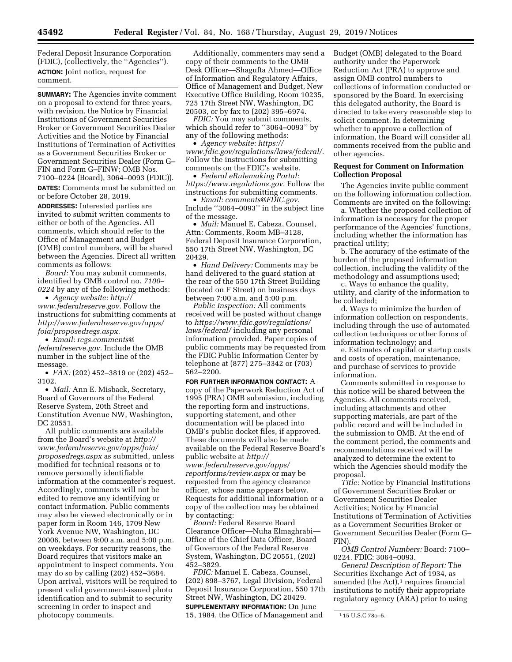Federal Deposit Insurance Corporation (FDIC), (collectively, the ''Agencies''). **ACTION:** Joint notice, request for comment.

**SUMMARY:** The Agencies invite comment on a proposal to extend for three years, with revision, the Notice by Financial Institutions of Government Securities Broker or Government Securities Dealer Activities and the Notice by Financial Institutions of Termination of Activities as a Government Securities Broker or Government Securities Dealer (Form G– FIN and Form G–FINW; OMB Nos. 7100–0224 (Board), 3064–0093 (FDIC)). **DATES:** Comments must be submitted on

or before October 28, 2019.

**ADDRESSES:** Interested parties are invited to submit written comments to either or both of the Agencies. All comments, which should refer to the Office of Management and Budget (OMB) control numbers, will be shared between the Agencies. Direct all written comments as follows:

*Board:* You may submit comments, identified by OMB control no. *7100– 0224* by any of the following methods:

• *Agency website: [http://](http://www.federalreserve.gov) [www.federalreserve.gov.](http://www.federalreserve.gov)* Follow the instructions for submitting comments at *[http://www.federalreserve.gov/apps/](http://www.federalreserve.gov/apps/foia/proposedregs.aspx) [foia/proposedregs.aspx.](http://www.federalreserve.gov/apps/foia/proposedregs.aspx)* 

• *Email: [regs.comments@](mailto:regs.comments@federalreserve.gov) [federalreserve.gov.](mailto:regs.comments@federalreserve.gov)* Include the OMB number in the subject line of the message.

• *FAX:* (202) 452–3819 or (202) 452– 3102.

• *Mail:* Ann E. Misback, Secretary, Board of Governors of the Federal Reserve System, 20th Street and Constitution Avenue NW, Washington, DC 20551.

All public comments are available from the Board's website at *[http://](http://www.federalreserve.gov/apps/foia/proposedregs.aspx) [www.federalreserve.gov/apps/foia/](http://www.federalreserve.gov/apps/foia/proposedregs.aspx) [proposedregs.aspx](http://www.federalreserve.gov/apps/foia/proposedregs.aspx)* as submitted, unless modified for technical reasons or to remove personally identifiable information at the commenter's request. Accordingly, comments will not be edited to remove any identifying or contact information. Public comments may also be viewed electronically or in paper form in Room 146, 1709 New York Avenue NW, Washington, DC 20006, between 9:00 a.m. and 5:00 p.m. on weekdays. For security reasons, the Board requires that visitors make an appointment to inspect comments. You may do so by calling (202) 452–3684. Upon arrival, visitors will be required to present valid government-issued photo identification and to submit to security screening in order to inspect and photocopy comments.

Additionally, commenters may send a copy of their comments to the OMB Desk Officer—Shagufta Ahmed—Office of Information and Regulatory Affairs, Office of Management and Budget, New Executive Office Building, Room 10235, 725 17th Street NW, Washington, DC 20503, or by fax to (202) 395–6974.

*FDIC:* You may submit comments, which should refer to ''3064–0093'' by any of the following methods:

• *Agency website: [https://](https://www.fdic.gov/regulations/laws/federal/) [www.fdic.gov/regulations/laws/federal/.](https://www.fdic.gov/regulations/laws/federal/)*  Follow the instructions for submitting comments on the FDIC's website.

• *Federal eRulemaking Portal: [https://www.regulations.gov.](https://www.regulations.gov)* Follow the instructions for submitting comments.

• *Email: [comments@FDIC.gov.](mailto:comments@FDIC.gov)*  Include ''3064–0093'' in the subject line of the message.

• *Mail:* Manuel E. Cabeza, Counsel, Attn: Comments, Room MB–3128, Federal Deposit Insurance Corporation, 550 17th Street NW, Washington, DC 20429.

• *Hand Delivery:* Comments may be hand delivered to the guard station at the rear of the 550 17th Street Building (located on F Street) on business days between 7:00 a.m. and 5:00 p.m.

*Public Inspection:* All comments received will be posted without change to *[https://www.fdic.gov/regulations/](https://www.fdic.gov/regulations/laws/federal/)  [laws/federal/](https://www.fdic.gov/regulations/laws/federal/)* including any personal information provided. Paper copies of public comments may be requested from the FDIC Public Information Center by telephone at (877) 275–3342 or (703) 562–2200.

**FOR FURTHER INFORMATION CONTACT:** A copy of the Paperwork Reduction Act of 1995 (PRA) OMB submission, including the reporting form and instructions, supporting statement, and other documentation will be placed into OMB's public docket files, if approved. These documents will also be made available on the Federal Reserve Board's public website at *[http://](http://www.federalreserve.gov/apps/reportforms/review.aspx) [www.federalreserve.gov/apps/](http://www.federalreserve.gov/apps/reportforms/review.aspx)  [reportforms/review.aspx](http://www.federalreserve.gov/apps/reportforms/review.aspx)* or may be requested from the agency clearance officer, whose name appears below. Requests for additional information or a copy of the collection may be obtained by contacting:

*Board:* Federal Reserve Board Clearance Officer—Nuha Elmaghrabi— Office of the Chief Data Officer, Board of Governors of the Federal Reserve System, Washington, DC 20551, (202) 452–3829.

*FDIC:* Manuel E. Cabeza, Counsel, (202) 898–3767, Legal Division, Federal Deposit Insurance Corporation, 550 17th Street NW, Washington, DC 20429. **SUPPLEMENTARY INFORMATION:** On June 15, 1984, the Office of Management and

Budget (OMB) delegated to the Board authority under the Paperwork Reduction Act (PRA) to approve and assign OMB control numbers to collections of information conducted or sponsored by the Board. In exercising this delegated authority, the Board is directed to take every reasonable step to solicit comment. In determining whether to approve a collection of information, the Board will consider all comments received from the public and other agencies.

### **Request for Comment on Information Collection Proposal**

The Agencies invite public comment on the following information collection. Comments are invited on the following:

a. Whether the proposed collection of information is necessary for the proper performance of the Agencies' functions, including whether the information has practical utility;

b. The accuracy of the estimate of the burden of the proposed information collection, including the validity of the methodology and assumptions used;

c. Ways to enhance the quality, utility, and clarity of the information to be collected;

d. Ways to minimize the burden of information collection on respondents, including through the use of automated collection techniques or other forms of information technology; and

e. Estimates of capital or startup costs and costs of operation, maintenance, and purchase of services to provide information.

Comments submitted in response to this notice will be shared between the Agencies. All comments received, including attachments and other supporting materials, are part of the public record and will be included in the submission to OMB. At the end of the comment period, the comments and recommendations received will be analyzed to determine the extent to which the Agencies should modify the proposal.

*Title:* Notice by Financial Institutions of Government Securities Broker or Government Securities Dealer Activities; Notice by Financial Institutions of Termination of Activities as a Government Securities Broker or Government Securities Dealer (Form G– FIN).

*OMB Control Numbers:* Board: 7100– 0224. FDIC: 3064–0093.

*General Description of Report:* The Securities Exchange Act of 1934, as amended (the Act), $1$  requires financial institutions to notify their appropriate regulatory agency (ARA) prior to using

<sup>1</sup> 15 U.S.C 78o–5.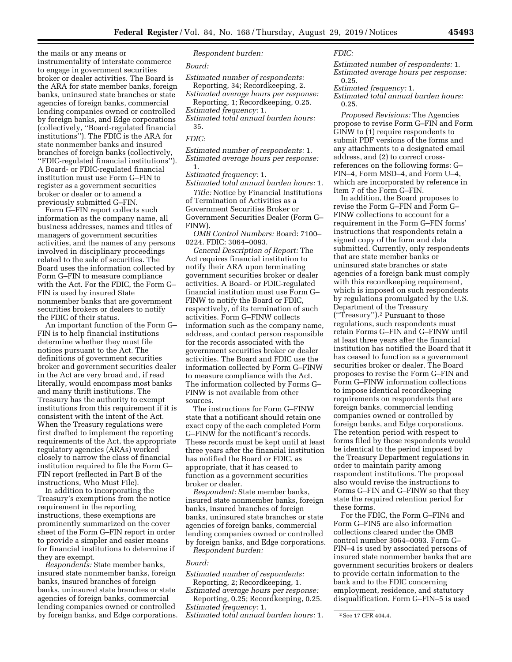the mails or any means or instrumentality of interstate commerce to engage in government securities broker or dealer activities. The Board is the ARA for state member banks, foreign banks, uninsured state branches or state agencies of foreign banks, commercial lending companies owned or controlled by foreign banks, and Edge corporations (collectively, ''Board-regulated financial institutions''). The FDIC is the ARA for state nonmember banks and insured branches of foreign banks (collectively, ''FDIC-regulated financial institutions''). A Board- or FDIC-regulated financial institution must use Form G–FIN to register as a government securities broker or dealer or to amend a previously submitted G–FIN.

Form G–FIN report collects such information as the company name, all business addresses, names and titles of managers of government securities activities, and the names of any persons involved in disciplinary proceedings related to the sale of securities. The Board uses the information collected by Form G–FIN to measure compliance with the Act. For the FDIC, the Form G– FIN is used by insured State nonmember banks that are government securities brokers or dealers to notify the FDIC of their status.

An important function of the Form G– FIN is to help financial institutions determine whether they must file notices pursuant to the Act. The definitions of government securities broker and government securities dealer in the Act are very broad and, if read literally, would encompass most banks and many thrift institutions. The Treasury has the authority to exempt institutions from this requirement if it is consistent with the intent of the Act. When the Treasury regulations were first drafted to implement the reporting requirements of the Act, the appropriate regulatory agencies (ARAs) worked closely to narrow the class of financial institution required to file the Form G– FIN report (reflected in Part B of the instructions, Who Must File).

In addition to incorporating the Treasury's exemptions from the notice requirement in the reporting instructions, these exemptions are prominently summarized on the cover sheet of the Form G–FIN report in order to provide a simpler and easier means for financial institutions to determine if they are exempt.

*Respondents:* State member banks, insured state nonmember banks, foreign banks, insured branches of foreign banks, uninsured state branches or state agencies of foreign banks, commercial lending companies owned or controlled by foreign banks, and Edge corporations.

#### *Respondent burden:*

#### *Board:*

*Estimated number of respondents:*  Reporting, 34; Recordkeeping, 2.

*Estimated average hours per response:*  Reporting, 1; Recordkeeping, 0.25.

*Estimated frequency:* 1. *Estimated total annual burden hours:* 

# 35.

## *FDIC:*

*Estimated number of respondents:* 1. *Estimated average hours per response:*  1.

# *Estimated frequency:* 1.

*Estimated total annual burden hours:* 1.

*Title:* Notice by Financial Institutions of Termination of Activities as a Government Securities Broker or Government Securities Dealer (Form G– FINW).

*OMB Control Numbers:* Board: 7100– 0224. FDIC: 3064–0093.

*General Description of Report:* The Act requires financial institution to notify their ARA upon terminating government securities broker or dealer activities. A Board- or FDIC-regulated financial institution must use Form G– FINW to notify the Board or FDIC, respectively, of its termination of such activities. Form G–FINW collects information such as the company name, address, and contact person responsible for the records associated with the government securities broker or dealer activities. The Board and FDIC use the information collected by Form G–FINW to measure compliance with the Act. The information collected by Forms G– FINW is not available from other sources.

The instructions for Form G–FINW state that a notificant should retain one exact copy of the each completed Form G–FINW for the notificant's records. These records must be kept until at least three years after the financial institution has notified the Board or FDIC, as appropriate, that it has ceased to function as a government securities broker or dealer.

*Respondent:* State member banks, insured state nonmember banks, foreign banks, insured branches of foreign banks, uninsured state branches or state agencies of foreign banks, commercial lending companies owned or controlled by foreign banks, and Edge corporations.

*Respondent burden:* 

#### *Board:*

*Estimated number of respondents:*  Reporting, 2; Recordkeeping, 1.

*Estimated average hours per response:*  Reporting, 0.25; Recordkeeping, 0.25.

*Estimated frequency:* 1.

*Estimated total annual burden hours:* 1.

# *FDIC:*

*Estimated number of respondents:* 1. *Estimated average hours per response:*  0.25.

*Estimated frequency:* 1.

*Estimated total annual burden hours:*  0.25.

*Proposed Revisions:* The Agencies propose to revise Form G–FIN and Form GINW to (1) require respondents to submit PDF versions of the forms and any attachments to a designated email address, and (2) to correct crossreferences on the following forms: G– FIN–4, Form MSD–4, and Form U–4, which are incorporated by reference in Item 7 of the Form G–FIN.

In addition, the Board proposes to revise the Form G–FIN and Form G– FINW collections to account for a requirement in the Form G–FIN forms' instructions that respondents retain a signed copy of the form and data submitted. Currently, only respondents that are state member banks or uninsured state branches or state agencies of a foreign bank must comply with this recordkeeping requirement, which is imposed on such respondents by regulations promulgated by the U.S. Department of the Treasury (''Treasury'').2 Pursuant to those regulations, such respondents must retain Forms G–FIN and G–FINW until at least three years after the financial institution has notified the Board that it has ceased to function as a government securities broker or dealer. The Board proposes to revise the Form G–FIN and Form G–FINW information collections to impose identical recordkeeping requirements on respondents that are foreign banks, commercial lending companies owned or controlled by foreign banks, and Edge corporations. The retention period with respect to forms filed by those respondents would be identical to the period imposed by the Treasury Department regulations in order to maintain parity among respondent institutions. The proposal also would revise the instructions to Forms G–FIN and G–FINW so that they state the required retention period for these forms.

For the FDIC, the Form G–FIN4 and Form G–FIN5 are also information collections cleared under the OMB control number 3064–0093. Form G– FIN–4 is used by associated persons of insured state nonmember banks that are government securities brokers or dealers to provide certain information to the bank and to the FDIC concerning employment, residence, and statutory disqualification. Form G–FIN–5 is used

<sup>2</sup>See 17 CFR 404.4.